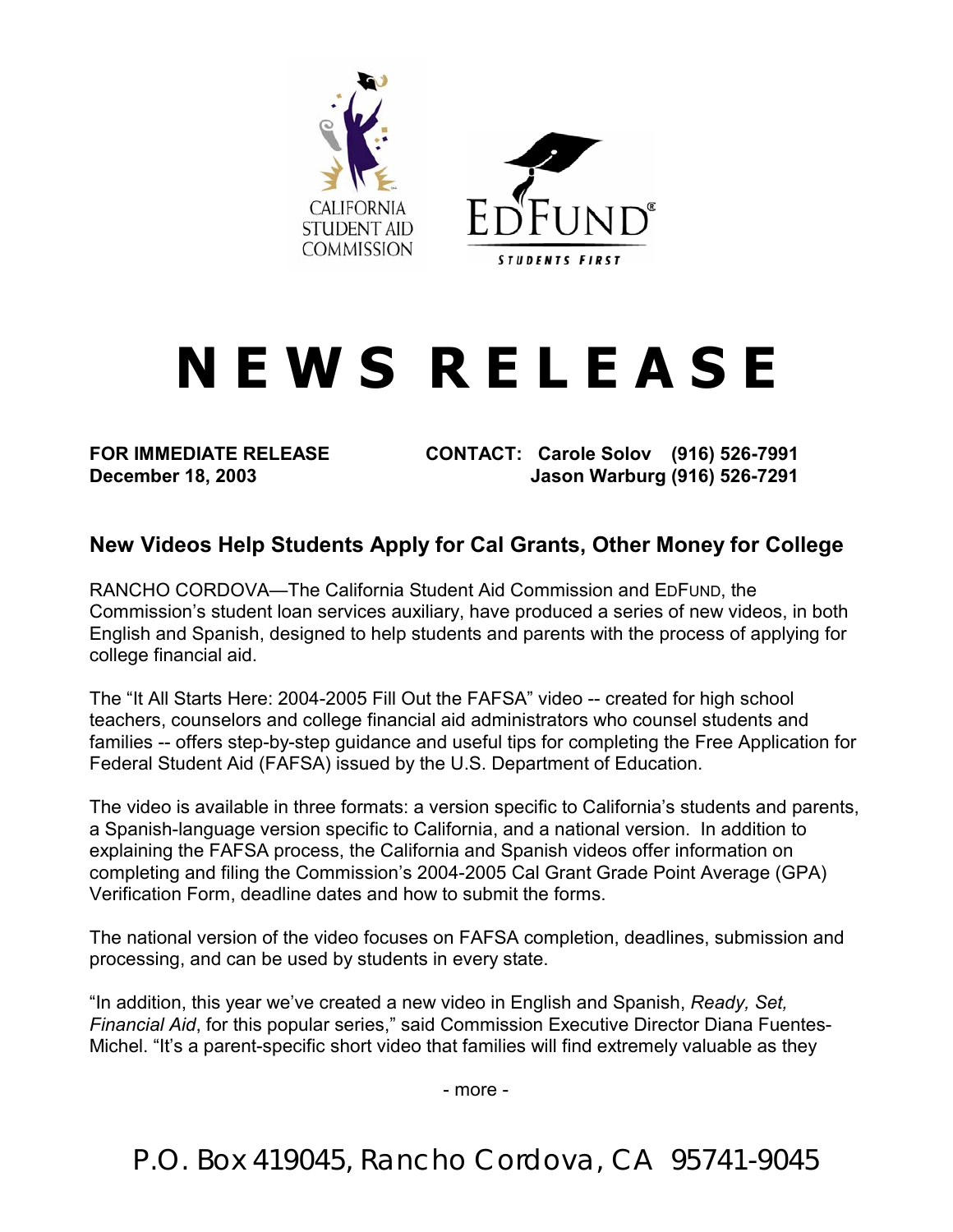

## **N E W S R E L E A S E**

**FOR IMMEDIATE RELEASE CONTACT: Carole Solov (916) 526-7991 December 18, 2003 Jason Warburg (916) 526-7291** 

## **New Videos Help Students Apply for Cal Grants, Other Money for College**

RANCHO CORDOVA—The California Student Aid Commission and EDFUND, the Commission's student loan services auxiliary, have produced a series of new videos, in both English and Spanish, designed to help students and parents with the process of applying for college financial aid.

The "It All Starts Here: 2004-2005 Fill Out the FAFSA" video -- created for high school teachers, counselors and college financial aid administrators who counsel students and families -- offers step-by-step guidance and useful tips for completing the Free Application for Federal Student Aid (FAFSA) issued by the U.S. Department of Education.

The video is available in three formats: a version specific to California's students and parents, a Spanish-language version specific to California, and a national version. In addition to explaining the FAFSA process, the California and Spanish videos offer information on completing and filing the Commission's 2004-2005 Cal Grant Grade Point Average (GPA) Verification Form, deadline dates and how to submit the forms.

The national version of the video focuses on FAFSA completion, deadlines, submission and processing, and can be used by students in every state.

"In addition, this year we've created a new video in English and Spanish, *Ready, Set, Financial Aid*, for this popular series," said Commission Executive Director Diana Fuentes-Michel. "It's a parent-specific short video that families will find extremely valuable as they

- more -

P.O. Box 419045, Rancho Cordova, CA 95741-9045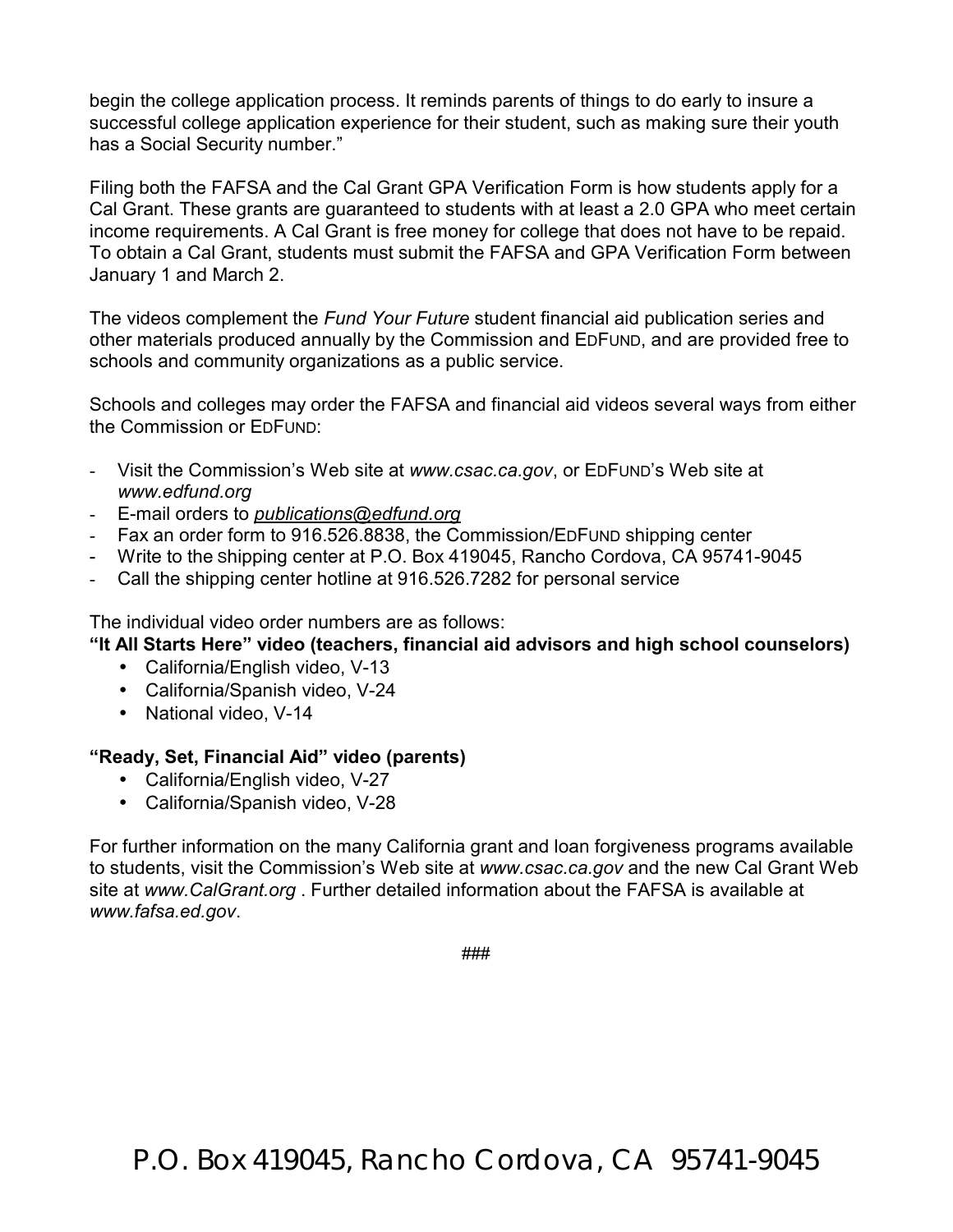begin the college application process. It reminds parents of things to do early to insure a successful college application experience for their student, such as making sure their youth has a Social Security number."

Filing both the FAFSA and the Cal Grant GPA Verification Form is how students apply for a Cal Grant. These grants are guaranteed to students with at least a 2.0 GPA who meet certain income requirements. A Cal Grant is free money for college that does not have to be repaid. To obtain a Cal Grant, students must submit the FAFSA and GPA Verification Form between January 1 and March 2.

The videos complement the *Fund Your Future* student financial aid publication series and other materials produced annually by the Commission and EDFUND, and are provided free to schools and community organizations as a public service.

Schools and colleges may order the FAFSA and financial aid videos several ways from either the Commission or EDFUND:

- Visit the Commission's Web site at *www.csac.ca.gov*, or EDFUND's Web site at *www.edfund.org*
- E-mail orders to *publications@edfund.org*
- Fax an order form to 916.526.8838, the Commission/EDFUND shipping center
- Write to the Shipping center at P.O. Box 419045, Rancho Cordova, CA 95741-9045
- Call the shipping center hotline at 916.526.7282 for personal service

The individual video order numbers are as follows:

**"It All Starts Here" video (teachers, financial aid advisors and high school counselors)** 

- California/English video, V-13
- California/Spanish video, V-24
- National video, V-14

## **"Ready, Set, Financial Aid" video (parents)**

- California/English video, V-27
- California/Spanish video, V-28

For further information on the many California grant and loan forgiveness programs available to students, visit the Commission's Web site at *www.csac.ca.gov* and the new Cal Grant Web site at *www.CalGrant.org* . Further detailed information about the FAFSA is available at *www.fafsa.ed.gov*.

###